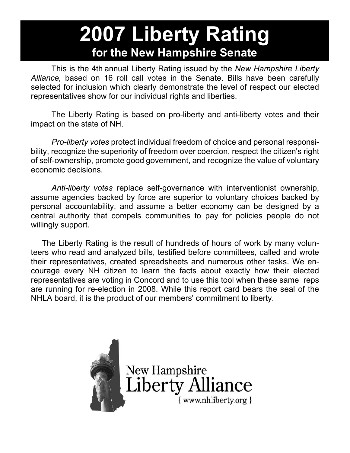## **2007 Liberty Rating for the New Hampshire Senate**

 This is the 4th annual Liberty Rating issued by the *New Hampshire Liberty Alliance,* based on 16 roll call votes in the Senate. Bills have been carefully selected for inclusion which clearly demonstrate the level of respect our elected representatives show for our individual rights and liberties.

 The Liberty Rating is based on pro-liberty and anti-liberty votes and their impact on the state of NH.

 *Pro-liberty votes* protect individual freedom of choice and personal responsibility, recognize the superiority of freedom over coercion, respect the citizen's right of self-ownership, promote good government, and recognize the value of voluntary economic decisions.

 *Anti-liberty votes* replace self-governance with interventionist ownership, assume agencies backed by force are superior to voluntary choices backed by personal accountability, and assume a better economy can be designed by a central authority that compels communities to pay for policies people do not willingly support.

 The Liberty Rating is the result of hundreds of hours of work by many volunteers who read and analyzed bills, testified before committees, called and wrote their representatives, created spreadsheets and numerous other tasks. We encourage every NH citizen to learn the facts about exactly how their elected representatives are voting in Concord and to use this tool when these same reps are running for re-election in 2008. While this report card bears the seal of the NHLA board, it is the product of our members' commitment to liberty.



New Hampshire<br>Liberty Alliance { www.nhliberty.org }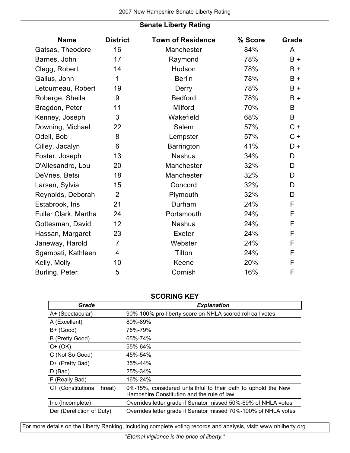## **Senate Liberty Rating**

| <b>Name</b>          | <b>District</b> | <b>Town of Residence</b> | % Score | Grade       |
|----------------------|-----------------|--------------------------|---------|-------------|
| Gatsas, Theodore     | 16              | Manchester               | 84%     | A           |
| Barnes, John         | 17              | Raymond                  | 78%     | $B +$       |
| Clegg, Robert        | 14              | Hudson                   | 78%     | $B +$       |
| Gallus, John         | 1               | <b>Berlin</b>            | 78%     | $B +$       |
| Letourneau, Robert   | 19              | Derry                    | 78%     | $B +$       |
| Roberge, Sheila      | 9               | <b>Bedford</b>           | 78%     | $B +$       |
| Bragdon, Peter       | 11              | Milford                  | 70%     | B           |
| Kenney, Joseph       | 3               | Wakefield                | 68%     | B           |
| Downing, Michael     | 22              | Salem                    | 57%     | $C +$       |
| Odell, Bob           | 8               | Lempster                 | 57%     | $C +$       |
| Cilley, Jacalyn      | 6               | Barrington               | 41%     | D+          |
| Foster, Joseph       | 13              | Nashua                   | 34%     | D           |
| D'Allesandro, Lou    | 20              | Manchester               | 32%     | D           |
| DeVries, Betsi       | 18              | Manchester               | 32%     | D           |
| Larsen, Sylvia       | 15              | Concord                  | 32%     | D           |
| Reynolds, Deborah    | $\overline{2}$  | Plymouth                 | 32%     | D           |
| Estabrook, Iris      | 21              | Durham                   | 24%     | F           |
| Fuller Clark, Martha | 24              | Portsmouth               | 24%     | $\mathsf F$ |
| Gottesman, David     | 12              | Nashua                   | 24%     | F           |
| Hassan, Margaret     | 23              | Exeter                   | 24%     | F           |
| Janeway, Harold      | $\overline{7}$  | Webster                  | 24%     | F           |
| Sgambati, Kathleen   | $\overline{4}$  | Tilton                   | 24%     | F           |
| Kelly, Molly         | 10              | Keene                    | 20%     | $\mathsf F$ |
| Burling, Peter       | 5               | Cornish                  | 16%     | F           |

## **SCORING KEY**

| Grade                      | <b>Explanation</b>                                                                                           |
|----------------------------|--------------------------------------------------------------------------------------------------------------|
| A+ (Spectacular)           | 90%-100% pro-liberty score on NHLA scored roll call votes                                                    |
| A (Excellent)              | 80%-89%                                                                                                      |
| $B+$ (Good)                | 75%-79%                                                                                                      |
| B (Pretty Good)            | 65%-74%                                                                                                      |
| $C+ (OK)$                  | 55%-64%                                                                                                      |
| C (Not So Good)            | 45%-54%                                                                                                      |
| D+ (Pretty Bad)            | 35%-44%                                                                                                      |
| $D$ (Bad)                  | 25%-34%                                                                                                      |
| F (Really Bad)             | 16%-24%                                                                                                      |
| CT (Constitutional Threat) | 0%-15%, considered unfaithful to their oath to uphold the New<br>Hampshire Constitution and the rule of law. |
| Inc (Incomplete)           | Overrides letter grade if Senator missed 50%-69% of NHLA votes                                               |
| Der (Dereliction of Duty)  | Overrides letter grade if Senator missed 70%-100% of NHLA votes                                              |

For more details on the Liberty Ranking, including complete voting records and analysis, visit: www.nhliberty.org

*"Eternal vigilance is the price of liberty."*